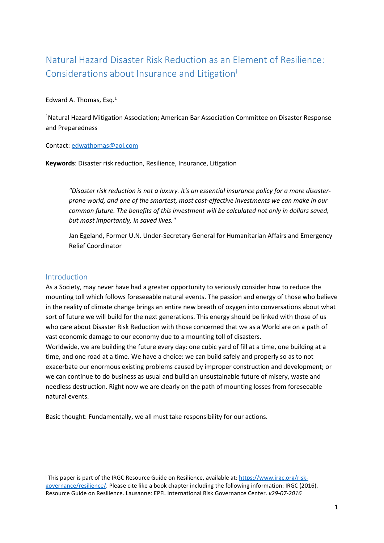# Natural Hazard Disaster Risk Reduction as an Element of Resilience: Cons[i](#page-0-0)derations about Insurance and Litigation'

#### Edward A. Thomas, Esq.1

<sup>1</sup>Natural Hazard Mitigation Association; American Bar Association Committee on Disaster Response and Preparedness

#### Contact: [edwathomas@aol.com](mailto:edwathomas@aol.com)

**Keywords**: Disaster risk reduction, Resilience, Insurance, Litigation

*"Disaster risk reduction is not a luxury. It's an essential insurance policy for a more disasterprone world, and one of the smartest, most cost-effective investments we can make in our common future. The benefits of this investment will be calculated not only in dollars saved, but most importantly, in saved lives."* 

Jan Egeland, Former U.N. Under-Secretary General for Humanitarian Affairs and Emergency Relief Coordinator

#### Introduction

As a Society, may never have had a greater opportunity to seriously consider how to reduce the mounting toll which follows foreseeable natural events. The passion and energy of those who believe in the reality of climate change brings an entire new breath of oxygen into conversations about what sort of future we will build for the next generations. This energy should be linked with those of us who care about Disaster Risk Reduction with those concerned that we as a World are on a path of vast economic damage to our economy due to a mounting toll of disasters.

Worldwide, we are building the future every day: one cubic yard of fill at a time, one building at a time, and one road at a time. We have a choice: we can build safely and properly so as to not exacerbate our enormous existing problems caused by improper construction and development; or we can continue to do business as usual and build an unsustainable future of misery, waste and needless destruction. Right now we are clearly on the path of mounting losses from foreseeable natural events.

Basic thought: Fundamentally, we all must take responsibility for our actions.

<span id="page-0-0"></span>i This paper is part of the IRGC Resource Guide on Resilience, available at: [https://www.irgc.org/risk](https://www.irgc.org/risk-governance/resilience/)[governance/resilience/.](https://www.irgc.org/risk-governance/resilience/) Please cite like a book chapter including the following information: IRGC (2016). Resource Guide on Resilience. Lausanne: EPFL International Risk Governance Center. *v29-07-2016*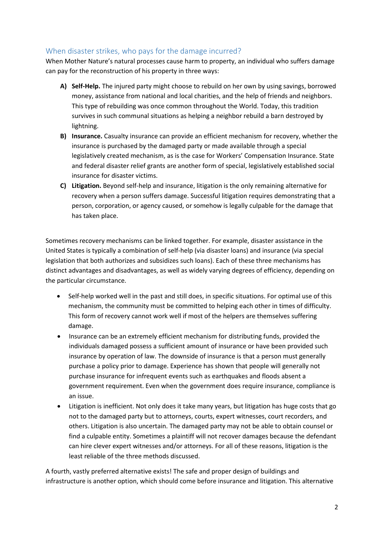# When disaster strikes, who pays for the damage incurred?

When Mother Nature's natural processes cause harm to property, an individual who suffers damage can pay for the reconstruction of his property in three ways:

- **A) Self-Help.** The injured party might choose to rebuild on her own by using savings, borrowed money, assistance from national and local charities, and the help of friends and neighbors. This type of rebuilding was once common throughout the World. Today, this tradition survives in such communal situations as helping a neighbor rebuild a barn destroyed by lightning.
- **B) Insurance.** Casualty insurance can provide an efficient mechanism for recovery, whether the insurance is purchased by the damaged party or made available through a special legislatively created mechanism, as is the case for Workers' Compensation Insurance. State and federal disaster relief grants are another form of special, legislatively established social insurance for disaster victims.
- **C) Litigation.** Beyond self-help and insurance, litigation is the only remaining alternative for recovery when a person suffers damage. Successful litigation requires demonstrating that a person, corporation, or agency caused, or somehow is legally culpable for the damage that has taken place.

Sometimes recovery mechanisms can be linked together. For example, disaster assistance in the United States is typically a combination of self-help (via disaster loans) and insurance (via special legislation that both authorizes and subsidizes such loans). Each of these three mechanisms has distinct advantages and disadvantages, as well as widely varying degrees of efficiency, depending on the particular circumstance.

- Self-help worked well in the past and still does, in specific situations. For optimal use of this mechanism, the community must be committed to helping each other in times of difficulty. This form of recovery cannot work well if most of the helpers are themselves suffering damage.
- Insurance can be an extremely efficient mechanism for distributing funds, provided the individuals damaged possess a sufficient amount of insurance or have been provided such insurance by operation of law. The downside of insurance is that a person must generally purchase a policy prior to damage. Experience has shown that people will generally not purchase insurance for infrequent events such as earthquakes and floods absent a government requirement. Even when the government does require insurance, compliance is an issue.
- Litigation is inefficient. Not only does it take many years, but litigation has huge costs that go not to the damaged party but to attorneys, courts, expert witnesses, court recorders, and others. Litigation is also uncertain. The damaged party may not be able to obtain counsel or find a culpable entity. Sometimes a plaintiff will not recover damages because the defendant can hire clever expert witnesses and/or attorneys. For all of these reasons, litigation is the least reliable of the three methods discussed.

A fourth, vastly preferred alternative exists! The safe and proper design of buildings and infrastructure is another option, which should come before insurance and litigation. This alternative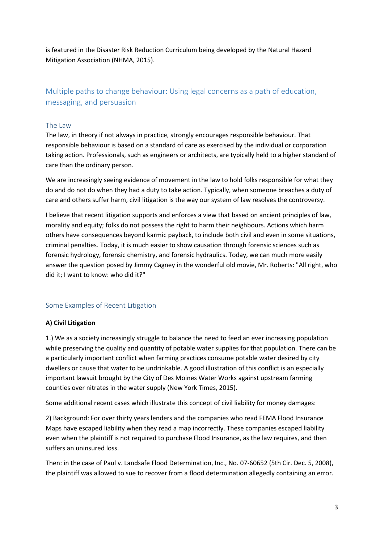is featured in the Disaster Risk Reduction Curriculum being developed by the Natural Hazard Mitigation Association (NHMA, 2015).

# Multiple paths to change behaviour: Using legal concerns as a path of education, messaging, and persuasion

#### The Law

The law, in theory if not always in practice, strongly encourages responsible behaviour. That responsible behaviour is based on a standard of care as exercised by the individual or corporation taking action. Professionals, such as engineers or architects, are typically held to a higher standard of care than the ordinary person.

We are increasingly seeing evidence of movement in the law to hold folks responsible for what they do and do not do when they had a duty to take action. Typically, when someone breaches a duty of care and others suffer harm, civil litigation is the way our system of law resolves the controversy.

I believe that recent litigation supports and enforces a view that based on ancient principles of law, morality and equity; folks do not possess the right to harm their neighbours. Actions which harm others have consequences beyond karmic payback, to include both civil and even in some situations, criminal penalties. Today, it is much easier to show causation through forensic sciences such as forensic hydrology, forensic chemistry, and forensic hydraulics. Today, we can much more easily answer the question posed by Jimmy Cagney in the wonderful old movie, Mr. Roberts: "All right, who did it; I want to know: who did it?"

# Some Examples of Recent Litigation

#### **A) Civil Litigation**

1.) We as a society increasingly struggle to balance the need to feed an ever increasing population while preserving the quality and quantity of potable water supplies for that population. There can be a particularly important conflict when farming practices consume potable water desired by city dwellers or cause that water to be undrinkable. A good illustration of this conflict is an especially important lawsuit brought by the City of Des Moines Water Works against upstream farming counties over nitrates in the water supply (New York Times, 2015).

Some additional recent cases which illustrate this concept of civil liability for money damages:

2) Background: For over thirty years lenders and the companies who read FEMA Flood Insurance Maps have escaped liability when they read a map incorrectly. These companies escaped liability even when the plaintiff is not required to purchase Flood Insurance, as the law requires, and then suffers an uninsured loss.

Then: in the case of Paul v. Landsafe Flood Determination, Inc., No. 07-60652 (5th Cir. Dec. 5, 2008), the plaintiff was allowed to sue to recover from a flood determination allegedly containing an error.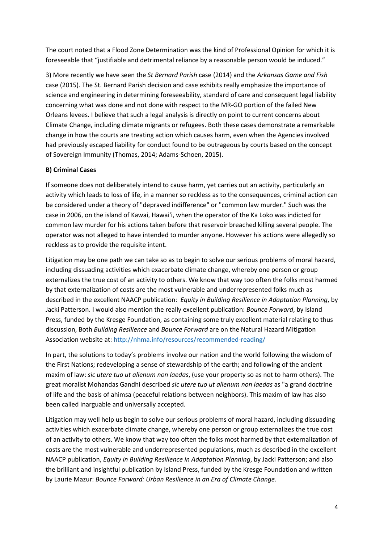The court noted that a Flood Zone Determination was the kind of Professional Opinion for which it is foreseeable that "justifiable and detrimental reliance by a reasonable person would be induced."

3) More recently we have seen the *St Bernard Parish* case (2014) and the *Arkansas Game and Fish*  case (2015). The St. Bernard Parish decision and case exhibits really emphasize the importance of science and engineering in determining foreseeability, standard of care and consequent legal liability concerning what was done and not done with respect to the MR-GO portion of the failed New Orleans levees. I believe that such a legal analysis is directly on point to current concerns about Climate Change, including climate migrants or refugees. Both these cases demonstrate a remarkable change in how the courts are treating action which causes harm, even when the Agencies involved had previously escaped liability for conduct found to be outrageous by courts based on the concept of Sovereign Immunity (Thomas, 2014; Adams-Schoen, 2015).

#### **B) Criminal Cases**

If someone does not deliberately intend to cause harm, yet carries out an activity, particularly an activity which leads to loss of life, in a manner so reckless as to the consequences, criminal action can be considered under a theory of "depraved indifference" or "common law murder." Such was the case in 2006, on the island of Kawai, Hawai'i, when the operator of the Ka Loko was indicted for common law murder for his actions taken before that reservoir breached killing several people. The operator was not alleged to have intended to murder anyone. However his actions were allegedly so reckless as to provide the requisite intent.

Litigation may be one path we can take so as to begin to solve our serious problems of moral hazard, including dissuading activities which exacerbate climate change, whereby one person or group externalizes the true cost of an activity to others. We know that way too often the folks most harmed by that externalization of costs are the most vulnerable and underrepresented folks much as described in the excellent NAACP publication: *Equity in Building Resilience in Adaptation Planning*, by Jacki Patterson. I would also mention the really excellent publication: *Bounce Forward*, by Island Press, funded by the Kresge Foundation, as containing some truly excellent material relating to thus discussion, Both *Building Resilience* and *Bounce Forward* are on the Natural Hazard Mitigation Association website at: <http://nhma.info/resources/recommended-reading/>

In part, the solutions to today's problems involve our nation and the world following the wisdom of the First Nations; redeveloping a sense of stewardship of the earth; and following of the ancient maxim of law: *sic utere tuo ut alienum non laedas*, (use your property so as not to harm others). The great moralist Mohandas Gandhi described *sic utere tuo ut alienum non laedas* as "a grand doctrine of life and the basis of ahimsa (peaceful relations between neighbors). This maxim of law has also been called inarguable and universally accepted.

Litigation may well help us begin to solve our serious problems of moral hazard, including dissuading activities which exacerbate climate change, whereby one person or group externalizes the true cost of an activity to others. We know that way too often the folks most harmed by that externalization of costs are the most vulnerable and underrepresented populations, much as described in the excellent NAACP publication, *Equity in Building Resilience in Adaptation Planning*, by Jacki Patterson; and also the brilliant and insightful publication by Island Press, funded by the Kresge Foundation and written by Laurie Mazur: *Bounce Forward: Urban Resilience in an Era of Climate Change*.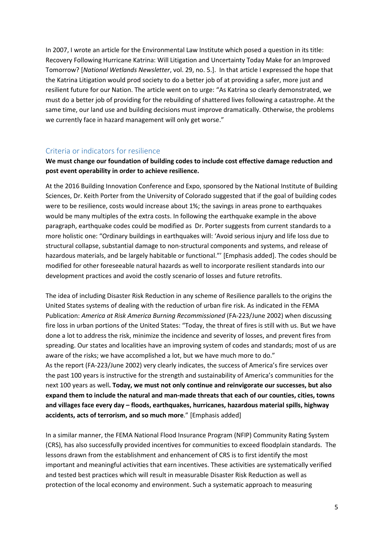In 2007, I wrote an article for the Environmental Law Institute which posed a question in its title: Recovery Following Hurricane Katrina: Will Litigation and Uncertainty Today Make for an Improved Tomorrow? [*National Wetlands Newsletter*, vol. 29, no. 5.]. In that article I expressed the hope that the Katrina Litigation would prod society to do a better job of at providing a safer, more just and resilient future for our Nation. The article went on to urge: "As Katrina so clearly demonstrated, we must do a better job of providing for the rebuilding of shattered lives following a catastrophe. At the same time, our land use and building decisions must improve dramatically. Otherwise, the problems we currently face in hazard management will only get worse."

#### Criteria or indicators for resilience

#### **We must change our foundation of building codes to include cost effective damage reduction and post event operability in order to achieve resilience.**

At the 2016 Building Innovation Conference and Expo, sponsored by the National Institute of Building Sciences, Dr. Keith Porter from the University of Colorado suggested that if the goal of building codes were to be resilience, costs would increase about 1%; the savings in areas prone to earthquakes would be many multiples of the extra costs. In following the earthquake example in the above paragraph, earthquake codes could be modified as Dr. Porter suggests from current standards to a more holistic one: "Ordinary buildings in earthquakes will: 'Avoid serious injury and life loss due to structural collapse, substantial damage to non-structural components and systems, and release of hazardous materials, and be largely habitable or functional."' [Emphasis added]. The codes should be modified for other foreseeable natural hazards as well to incorporate resilient standards into our development practices and avoid the costly scenario of losses and future retrofits.

The idea of including Disaster Risk Reduction in any scheme of Resilience parallels to the origins the United States systems of dealing with the reduction of urban fire risk. As indicated in the FEMA Publication: *America at Risk America Burning Recommissioned* (FA-223/June 2002) when discussing fire loss in urban portions of the United States: "Today, the threat of fires is still with us. But we have done a lot to address the risk, minimize the incidence and severity of losses, and prevent fires from spreading. Our states and localities have an improving system of codes and standards; most of us are aware of the risks; we have accomplished a lot, but we have much more to do." As the report (FA-223/June 2002) very clearly indicates, the success of America's fire services over the past 100 years is instructive for the strength and sustainability of America's communities for the next 100 years as well**. Today, we must not only continue and reinvigorate our successes, but also expand them to include the natural and man-made threats that each of our counties, cities, towns and villages face every day – floods, earthquakes, hurricanes, hazardous material spills, highway accidents, acts of terrorism, and so much more**." [Emphasis added]

In a similar manner, the FEMA National Flood Insurance Program (NFIP) Community Rating System (CRS), has also successfully provided incentives for communities to exceed floodplain standards. The lessons drawn from the establishment and enhancement of CRS is to first identify the most important and meaningful activities that earn incentives. These activities are systematically verified and tested best practices which will result in measurable Disaster Risk Reduction as well as protection of the local economy and environment. Such a systematic approach to measuring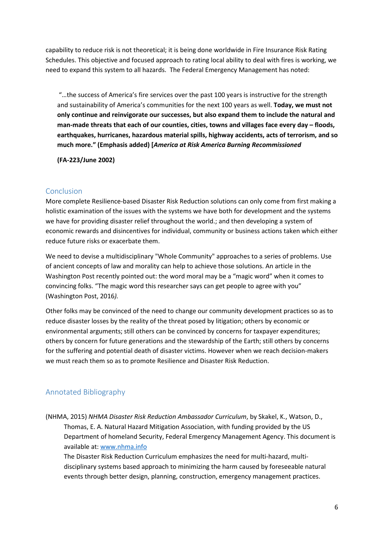capability to reduce risk is not theoretical; it is being done worldwide in Fire Insurance Risk Rating Schedules. This objective and focused approach to rating local ability to deal with fires is working, we need to expand this system to all hazards. The Federal Emergency Management has noted:

"…the success of America's fire services over the past 100 years is instructive for the strength and sustainability of America's communities for the next 100 years as well. **Today, we must not only continue and reinvigorate our successes, but also expand them to include the natural and man-made threats that each of our counties, cities, towns and villages face every day – floods, earthquakes, hurricanes, hazardous material spills, highway accidents, acts of terrorism, and so much more." (Emphasis added) [***America at Risk America Burning Recommissioned* 

**(FA-223/June 2002)**

# Conclusion

More complete Resilience-based Disaster Risk Reduction solutions can only come from first making a holistic examination of the issues with the systems we have both for development and the systems we have for providing disaster relief throughout the world.; and then developing a system of economic rewards and disincentives for individual, community or business actions taken which either reduce future risks or exacerbate them.

We need to devise a multidisciplinary "Whole Community" approaches to a series of problems. Use of ancient concepts of law and morality can help to achieve those solutions. An article in the Washington Post recently pointed out: the word moral may be a "magic word" when it comes to convincing folks. "The magic word this researcher says can get people to agree with you" (Washington Post, 2016*).* 

Other folks may be convinced of the need to change our community development practices so as to reduce disaster losses by the reality of the threat posed by litigation; others by economic or environmental arguments; still others can be convinced by concerns for taxpayer expenditures; others by concern for future generations and the stewardship of the Earth; still others by concerns for the suffering and potential death of disaster victims. However when we reach decision-makers we must reach them so as to promote Resilience and Disaster Risk Reduction.

# Annotated Bibliography

(NHMA, 2015) *NHMA Disaster Risk Reduction Ambassador Curriculum*, by Skakel, K., Watson, D., Thomas, E. A. Natural Hazard Mitigation Association, with funding provided by the US Department of homeland Security, Federal Emergency Management Agency. This document is available at[: www.nhma.info](http://www.nhma.info/)

The Disaster Risk Reduction Curriculum emphasizes the need for multi-hazard, multidisciplinary systems based approach to minimizing the harm caused by foreseeable natural events through better design, planning, construction, emergency management practices.